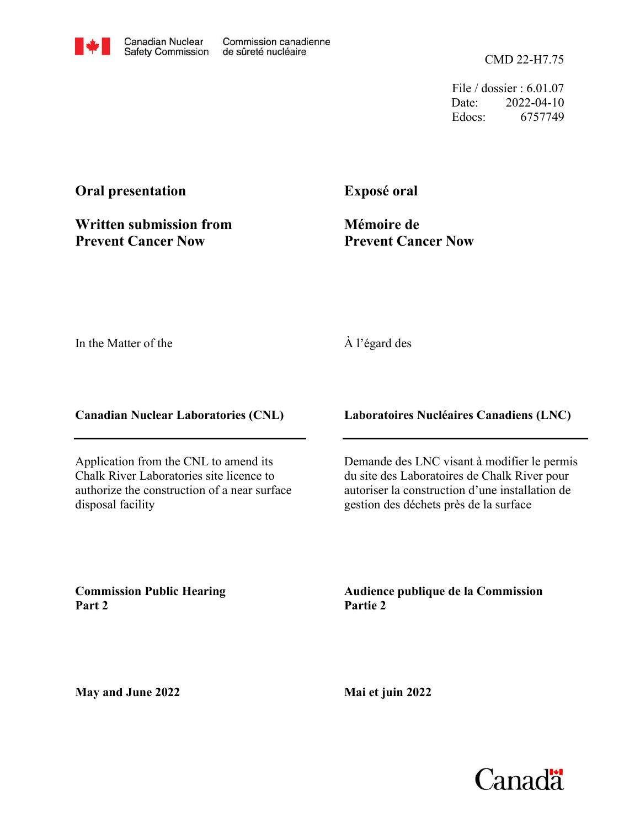CMD 22-H7.75

File / dossier : 6.01.07 Date: 2022-04-10 Edocs: 6757749

## **Oral presentation**

**Written submission from Prevent Cancer Now**

**Exposé oral**

**Mémoire de Prevent Cancer Now**

In the Matter of the

## À l'égard des

**Canadian Nuclear Laboratories (CNL)**

Application from the CNL to amend its Chalk River Laboratories site licence to authorize the construction of a near surface disposal facility

**Laboratoires Nucléaires Canadiens (LNC)**

Demande des LNC visant à modifier le permis du site des Laboratoires de Chalk River pour autoriser la construction d'une installation de gestion des déchets près de la surface

**Commission Public Hearing Part 2**

**Audience publique de la Commission Partie 2**

**May and June 2022**

**Mai et juin 2022**